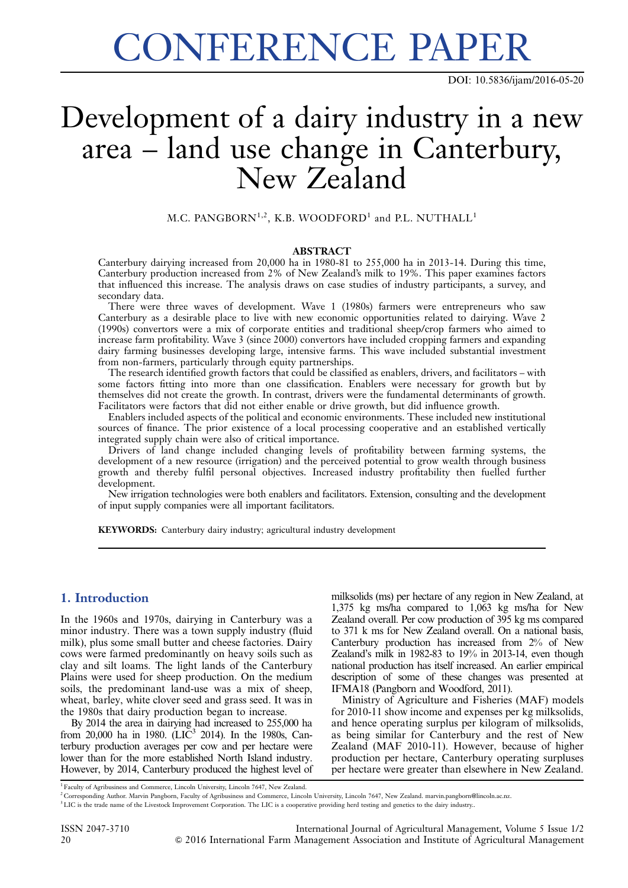# CONFERENCE PAPER

DOI: [10.5836/ijam/2016-05-20](http://dx.doi.org/10.5836/ijam/2016-05-20)

## Development of a dairy industry in a new area – land use change in Canterbury, New Zealand

M.C. PANGBORN<sup>1,2</sup>, K.B. WOODFORD<sup>1</sup> and P.L. NUTHALL<sup>1</sup>

#### ABSTRACT

Canterbury dairying increased from 20,000 ha in 1980-81 to 255,000 ha in 2013-14. During this time, Canterbury production increased from 2% of New Zealand's milk to 19%. This paper examines factors that influenced this increase. The analysis draws on case studies of industry participants, a survey, and secondary data.

There were three waves of development. Wave 1 (1980s) farmers were entrepreneurs who saw Canterbury as a desirable place to live with new economic opportunities related to dairying. Wave 2 (1990s) convertors were a mix of corporate entities and traditional sheep/crop farmers who aimed to increase farm profitability. Wave 3 (since 2000) convertors have included cropping farmers and expanding dairy farming businesses developing large, intensive farms. This wave included substantial investment from non-farmers, particularly through equity partnerships.

The research identified growth factors that could be classified as enablers, drivers, and facilitators – with some factors fitting into more than one classification. Enablers were necessary for growth but by themselves did not create the growth. In contrast, drivers were the fundamental determinants of growth. Facilitators were factors that did not either enable or drive growth, but did influence growth.

Enablers included aspects of the political and economic environments. These included new institutional sources of finance. The prior existence of a local processing cooperative and an established vertically integrated supply chain were also of critical importance.

Drivers of land change included changing levels of profitability between farming systems, the development of a new resource (irrigation) and the perceived potential to grow wealth through business growth and thereby fulfil personal objectives. Increased industry profitability then fuelled further development.

New irrigation technologies were both enablers and facilitators. Extension, consulting and the development of input supply companies were all important facilitators.

KEYWORDS: Canterbury dairy industry; agricultural industry development

#### 1. Introduction

In the 1960s and 1970s, dairying in Canterbury was a minor industry. There was a town supply industry (fluid milk), plus some small butter and cheese factories. Dairy cows were farmed predominantly on heavy soils such as clay and silt loams. The light lands of the Canterbury Plains were used for sheep production. On the medium soils, the predominant land-use was a mix of sheep, wheat, barley, white clover seed and grass seed. It was in the 1980s that dairy production began to increase.

By 2014 the area in dairying had increased to 255,000 ha from 20,000 ha in 1980. (LIC<sup>3</sup> 2014). In the 1980s, Canterbury production averages per cow and per hectare were lower than for the more established North Island industry. However, by 2014, Canterbury produced the highest level of milksolids (ms) per hectare of any region in New Zealand, at 1,375 kg ms/ha compared to 1,063 kg ms/ha for New Zealand overall. Per cow production of 395 kg ms compared to 371 k ms for New Zealand overall. On a national basis, Canterbury production has increased from 2% of New Zealand's milk in 1982-83 to 19% in 2013-14, even though national production has itself increased. An earlier empirical description of some of these changes was presented at IFMA18 (Pangborn and Woodford, 2011).

Ministry of Agriculture and Fisheries (MAF) models for 2010-11 show income and expenses per kg milksolids, and hence operating surplus per kilogram of milksolids, as being similar for Canterbury and the rest of New Zealand (MAF 2010-11). However, because of higher production per hectare, Canterbury operating surpluses per hectare were greater than elsewhere in New Zealand.

<sup>1</sup> Faculty of Agribusiness and Commerce, Lincoln University, Lincoln 7647, New Zealand.

<sup>&</sup>lt;sup>2</sup> Corresponding Author. Marvin Pangborn, Faculty of Agribusiness and Commerce, Lincoln University, Lincoln 7647, New Zealand. marvin.pangborn@lincoln.ac.nz.

<sup>&</sup>lt;sup>3</sup> LIC is the trade name of the Livestock Improvement Corporation. The LIC is a cooperative providing herd testing and genetics to the dairy industry..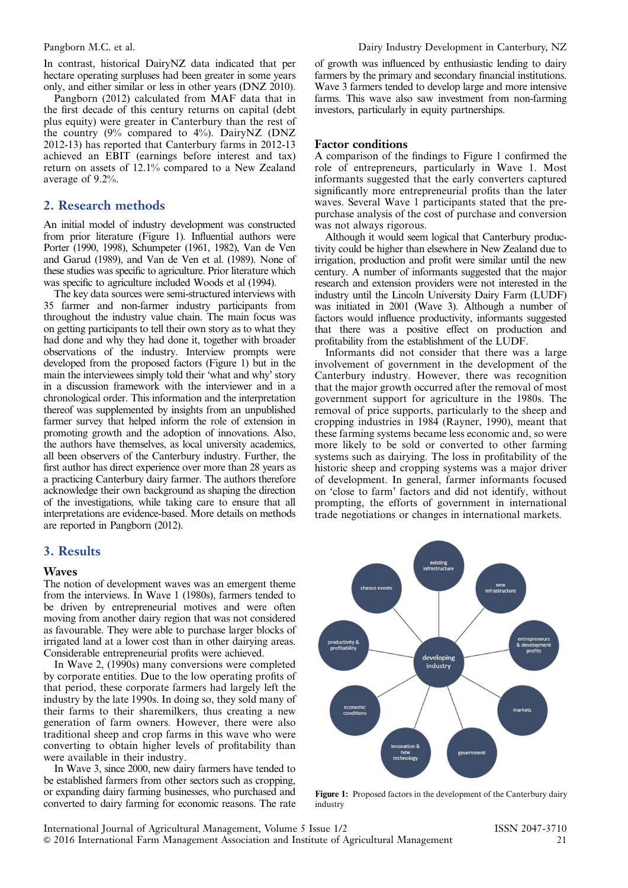<span id="page-1-0"></span>In contrast, historical DairyNZ data indicated that per hectare operating surpluses had been greater in some years only, and either similar or less in other years (DNZ 2010).

Pangborn (2012) calculated from MAF data that in the first decade of this century returns on capital (debt plus equity) were greater in Canterbury than the rest of the country  $(9\%$  compared to  $4\%$ ). DairyNZ (DNZ 2012-13) has reported that Canterbury farms in 2012-13 achieved an EBIT (earnings before interest and tax) return on assets of 12.1% compared to a New Zealand average of 9.2%.

#### 2. Research methods

An initial model of industry development was constructed from prior literature (Figure 1). Influential authors were Porter (1990, 1998), Schumpeter (1961, 1982), Van de Ven and Garud (1989), and Van de Ven et al. (1989). None of these studies was specific to agriculture. Prior literature which was specific to agriculture included Woods et al (1994).

The key data sources were semi-structured interviews with 35 farmer and non-farmer industry participants from throughout the industry value chain. The main focus was on getting participants to tell their own story as to what they had done and why they had done it, together with broader observations of the industry. Interview prompts were developed from the proposed factors (Figure 1) but in the main the interviewees simply told their 'what and why' story in a discussion framework with the interviewer and in a chronological order. This information and the interpretation thereof was supplemented by insights from an unpublished farmer survey that helped inform the role of extension in promoting growth and the adoption of innovations. Also, the authors have themselves, as local university academics, all been observers of the Canterbury industry. Further, the first author has direct experience over more than 28 years as a practicing Canterbury dairy farmer. The authors therefore acknowledge their own background as shaping the direction of the investigations, while taking care to ensure that all interpretations are evidence-based. More details on methods are reported in Pangborn (2012).

#### 3. Results

#### Waves

The notion of development waves was an emergent theme from the interviews. In Wave 1 (1980s), farmers tended to be driven by entrepreneurial motives and were often moving from another dairy region that was not considered as favourable. They were able to purchase larger blocks of irrigated land at a lower cost than in other dairying areas. Considerable entrepreneurial profits were achieved.

In Wave 2, (1990s) many conversions were completed by corporate entities. Due to the low operating profits of that period, these corporate farmers had largely left the industry by the late 1990s. In doing so, they sold many of their farms to their sharemilkers, thus creating a new generation of farm owners. However, there were also traditional sheep and crop farms in this wave who were converting to obtain higher levels of profitability than were available in their industry.

In Wave 3, since 2000, new dairy farmers have tended to be established farmers from other sectors such as cropping, or expanding dairy farming businesses, who purchased and converted to dairy farming for economic reasons. The rate of growth was influenced by enthusiastic lending to dairy farmers by the primary and secondary financial institutions. Wave 3 farmers tended to develop large and more intensive farms. This wave also saw investment from non-farming investors, particularly in equity partnerships.

#### Factor conditions

A comparison of the findings to Figure 1 confirmed the role of entrepreneurs, particularly in Wave 1. Most informants suggested that the early converters captured significantly more entrepreneurial profits than the later waves. Several Wave 1 participants stated that the prepurchase analysis of the cost of purchase and conversion was not always rigorous.

Although it would seem logical that Canterbury productivity could be higher than elsewhere in New Zealand due to irrigation, production and profit were similar until the new century. A number of informants suggested that the major research and extension providers were not interested in the industry until the Lincoln University Dairy Farm (LUDF) was initiated in 2001 (Wave 3). Although a number of factors would influence productivity, informants suggested that there was a positive effect on production and profitability from the establishment of the LUDF.

Informants did not consider that there was a large involvement of government in the development of the Canterbury industry. However, there was recognition that the major growth occurred after the removal of most government support for agriculture in the 1980s. The removal of price supports, particularly to the sheep and cropping industries in 1984 (Rayner, 1990), meant that these farming systems became less economic and, so were more likely to be sold or converted to other farming systems such as dairying. The loss in profitability of the historic sheep and cropping systems was a major driver of development. In general, farmer informants focused on 'close to farm' factors and did not identify, without prompting, the efforts of government in international trade negotiations or changes in international markets.



Figure 1: Proposed factors in the development of the Canterbury dairy industry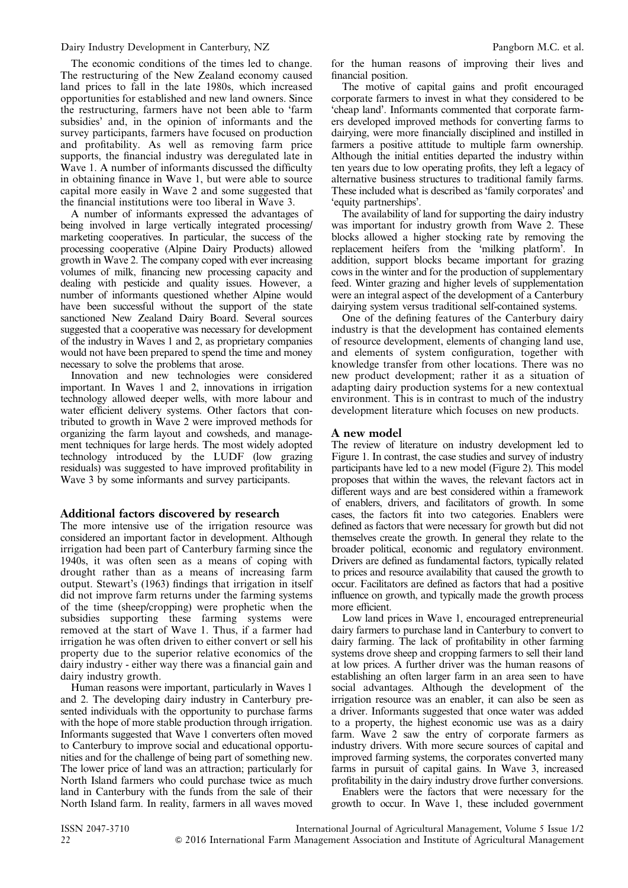The economic conditions of the times led to change. The restructuring of the New Zealand economy caused land prices to fall in the late 1980s, which increased opportunities for established and new land owners. Since the restructuring, farmers have not been able to 'farm subsidies' and, in the opinion of informants and the survey participants, farmers have focused on production and profitability. As well as removing farm price supports, the financial industry was deregulated late in Wave 1. A number of informants discussed the difficulty in obtaining finance in Wave 1, but were able to source capital more easily in Wave 2 and some suggested that the financial institutions were too liberal in Wave 3.

A number of informants expressed the advantages of being involved in large vertically integrated processing/ marketing cooperatives. In particular, the success of the processing cooperative (Alpine Dairy Products) allowed growth in Wave 2. The company coped with ever increasing volumes of milk, financing new processing capacity and dealing with pesticide and quality issues. However, a number of informants questioned whether Alpine would have been successful without the support of the state sanctioned New Zealand Dairy Board. Several sources suggested that a cooperative was necessary for development of the industry in Waves 1 and 2, as proprietary companies would not have been prepared to spend the time and money necessary to solve the problems that arose.

Innovation and new technologies were considered important. In Waves 1 and 2, innovations in irrigation technology allowed deeper wells, with more labour and water efficient delivery systems. Other factors that contributed to growth in Wave 2 were improved methods for organizing the farm layout and cowsheds, and management techniques for large herds. The most widely adopted technology introduced by the LUDF (low grazing residuals) was suggested to have improved profitability in Wave 3 by some informants and survey participants.

#### Additional factors discovered by research

The more intensive use of the irrigation resource was considered an important factor in development. Although irrigation had been part of Canterbury farming since the 1940s, it was often seen as a means of coping with drought rather than as a means of increasing farm output. Stewart's (1963) findings that irrigation in itself did not improve farm returns under the farming systems of the time (sheep/cropping) were prophetic when the subsidies supporting these farming systems were removed at the start of Wave 1. Thus, if a farmer had irrigation he was often driven to either convert or sell his property due to the superior relative economics of the dairy industry - either way there was a financial gain and dairy industry growth.

Human reasons were important, particularly in Waves 1 and 2. The developing dairy industry in Canterbury presented individuals with the opportunity to purchase farms with the hope of more stable production through irrigation. Informants suggested that Wave 1 converters often moved to Canterbury to improve social and educational opportunities and for the challenge of being part of something new. The lower price of land was an attraction; particularly for North Island farmers who could purchase twice as much land in Canterbury with the funds from the sale of their North Island farm. In reality, farmers in all waves moved

for the human reasons of improving their lives and financial position.

The motive of capital gains and profit encouraged corporate farmers to invest in what they considered to be 'cheap land'. Informants commented that corporate farmers developed improved methods for converting farms to dairying, were more financially disciplined and instilled in farmers a positive attitude to multiple farm ownership. Although the initial entities departed the industry within ten years due to low operating profits, they left a legacy of alternative business structures to traditional family farms. These included what is described as 'family corporates' and 'equity partnerships'.

The availability of land for supporting the dairy industry was important for industry growth from Wave 2. These blocks allowed a higher stocking rate by removing the replacement heifers from the 'milking platform'. In addition, support blocks became important for grazing cows in the winter and for the production of supplementary feed. Winter grazing and higher levels of supplementation were an integral aspect of the development of a Canterbury dairying system versus traditional self-contained systems.

One of the defining features of the Canterbury dairy industry is that the development has contained elements of resource development, elements of changing land use, and elements of system configuration, together with knowledge transfer from other locations. There was no new product development; rather it as a situation of adapting dairy production systems for a new contextual environment. This is in contrast to much of the industry development literature which focuses on new products.

#### A new model

The review of literature on industry development led to [Figure 1.](#page-1-0) In contrast, the case studies and survey of industry participants have led to a new model ([Figure 2](#page-3-0)). This model proposes that within the waves, the relevant factors act in different ways and are best considered within a framework of enablers, drivers, and facilitators of growth. In some cases, the factors fit into two categories. Enablers were defined as factors that were necessary for growth but did not themselves create the growth. In general they relate to the broader political, economic and regulatory environment. Drivers are defined as fundamental factors, typically related to prices and resource availability that caused the growth to occur. Facilitators are defined as factors that had a positive influence on growth, and typically made the growth process more efficient.

Low land prices in Wave 1, encouraged entrepreneurial dairy farmers to purchase land in Canterbury to convert to dairy farming. The lack of profitability in other farming systems drove sheep and cropping farmers to sell their land at low prices. A further driver was the human reasons of establishing an often larger farm in an area seen to have social advantages. Although the development of the irrigation resource was an enabler, it can also be seen as a driver. Informants suggested that once water was added to a property, the highest economic use was as a dairy farm. Wave 2 saw the entry of corporate farmers as industry drivers. With more secure sources of capital and improved farming systems, the corporates converted many farms in pursuit of capital gains. In Wave 3, increased profitability in the dairy industry drove further conversions.

Enablers were the factors that were necessary for the growth to occur. In Wave 1, these included government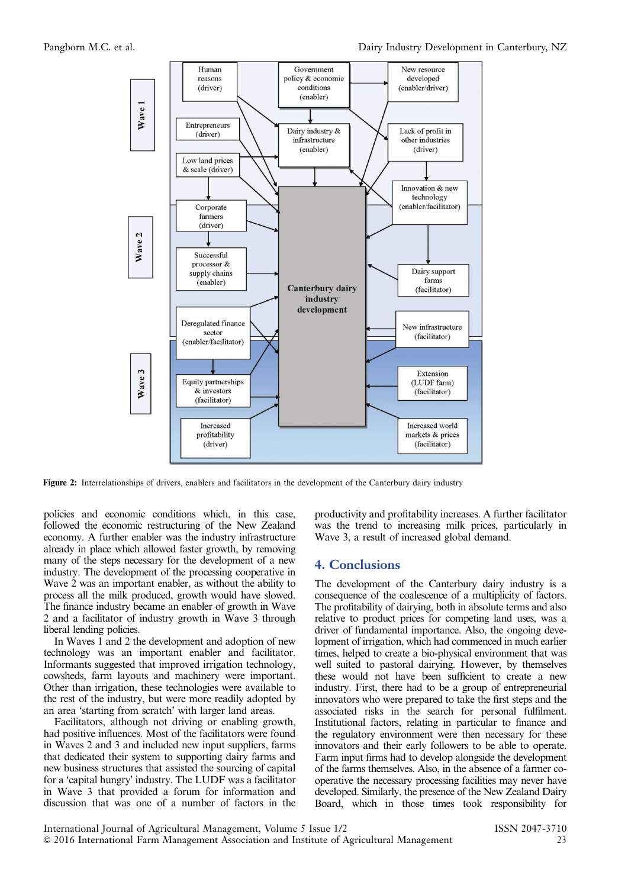<span id="page-3-0"></span>

Figure 2: Interrelationships of drivers, enablers and facilitators in the development of the Canterbury dairy industry

policies and economic conditions which, in this case, followed the economic restructuring of the New Zealand economy. A further enabler was the industry infrastructure already in place which allowed faster growth, by removing many of the steps necessary for the development of a new industry. The development of the processing cooperative in Wave 2 was an important enabler, as without the ability to process all the milk produced, growth would have slowed. The finance industry became an enabler of growth in Wave 2 and a facilitator of industry growth in Wave 3 through liberal lending policies.

In Waves 1 and 2 the development and adoption of new technology was an important enabler and facilitator. Informants suggested that improved irrigation technology, cowsheds, farm layouts and machinery were important. Other than irrigation, these technologies were available to the rest of the industry, but were more readily adopted by an area 'starting from scratch' with larger land areas.

Facilitators, although not driving or enabling growth, had positive influences. Most of the facilitators were found in Waves 2 and 3 and included new input suppliers, farms that dedicated their system to supporting dairy farms and new business structures that assisted the sourcing of capital for a 'capital hungry' industry. The LUDF was a facilitator in Wave 3 that provided a forum for information and discussion that was one of a number of factors in the

productivity and profitability increases. A further facilitator was the trend to increasing milk prices, particularly in Wave 3, a result of increased global demand.

#### 4. Conclusions

The development of the Canterbury dairy industry is a consequence of the coalescence of a multiplicity of factors. The profitability of dairying, both in absolute terms and also relative to product prices for competing land uses, was a driver of fundamental importance. Also, the ongoing development of irrigation, which had commenced in much earlier times, helped to create a bio-physical environment that was well suited to pastoral dairying. However, by themselves these would not have been sufficient to create a new industry. First, there had to be a group of entrepreneurial innovators who were prepared to take the first steps and the associated risks in the search for personal fulfilment. Institutional factors, relating in particular to finance and the regulatory environment were then necessary for these innovators and their early followers to be able to operate. Farm input firms had to develop alongside the development of the farms themselves. Also, in the absence of a farmer cooperative the necessary processing facilities may never have developed. Similarly, the presence of the New Zealand Dairy Board, which in those times took responsibility for